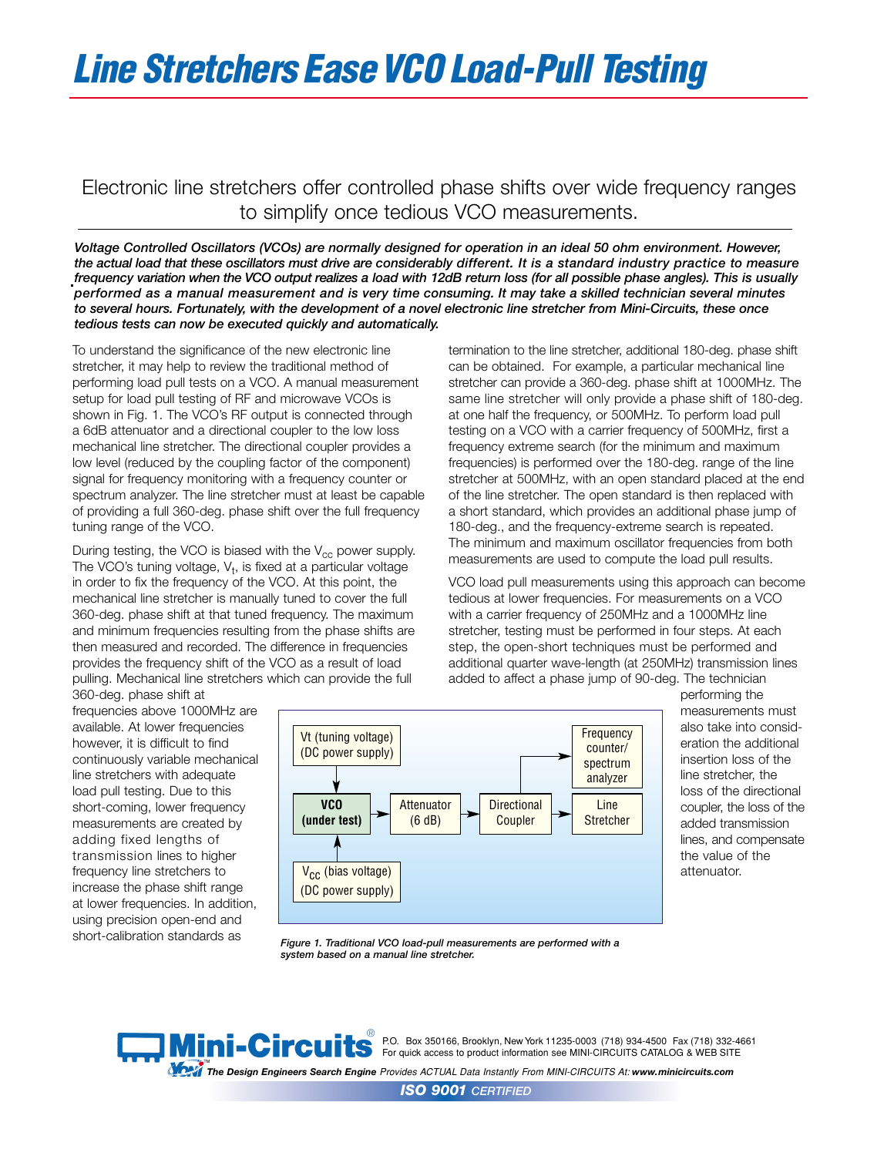## *Line Stretchers EaseVCO Load-Pull Testing*

## Electronic line stretchers offer controlled phase shifts over wide frequency ranges to simplify once tedious VCO measurements.

*Voltage Controlled Oscillators (VCOs) are normally designed for operation in an ideal 50 ohm environment. However, the actual load that these oscillators must drive are considerably different. It is a standard industry practice to measure frequency variation when the VCO output realizes a load with 12dB return loss (for all possible phase angles). This is usually performed as a manual measurement and is very time consuming. It may take a skilled technician several minutes to several hours. Fortunately, with the development of a novel electronic line stretcher from Mini-Circuits, these once tedious tests can now be executed quickly and automatically.*

To understand the significance of the new electronic line stretcher, it may help to review the traditional method of performing load pull tests on a VCO. A manual measurement setup for load pull testing of RF and microwave VCOs is shown in Fig. 1. The VCO's RF output is connected through a 6dB attenuator and a directional coupler to the low loss mechanical line stretcher. The directional coupler provides a low level (reduced by the coupling factor of the component) signal for frequency monitoring with a frequency counter or spectrum analyzer. The line stretcher must at least be capable of providing a full 360-deg. phase shift over the full frequency tuning range of the VCO.

During testing, the VCO is biased with the  $V_{cc}$  power supply. The VCO's tuning voltage,  $V_t$ , is fixed at a particular voltage in order to fix the frequency of the VCO. At this point, the mechanical line stretcher is manually tuned to cover the full 360-deg. phase shift at that tuned frequency. The maximum and minimum frequencies resulting from the phase shifts are then measured and recorded. The difference in frequencies provides the frequency shift of the VCO as a result of load pulling. Mechanical line stretchers which can provide the full 360-deg. phase shift at

frequencies above 1000MHz are available. At lower frequencies however, it is difficult to find continuously variable mechanical line stretchers with adequate load pull testing. Due to this short-coming, lower frequency measurements are created by adding fixed lengths of transmission lines to higher frequency line stretchers to increase the phase shift range at lower frequencies. In addition, using precision open-end and short-calibration standards as

termination to the line stretcher, additional 180-deg. phase shift can be obtained. For example, a particular mechanical line stretcher can provide a 360-deg. phase shift at 1000MHz. The same line stretcher will only provide a phase shift of 180-deg. at one half the frequency, or 500MHz. To perform load pull testing on a VCO with a carrier frequency of 500MHz, first a frequency extreme search (for the minimum and maximum frequencies) is performed over the 180-deg. range of the line stretcher at 500MHz, with an open standard placed at the end of the line stretcher. The open standard is then replaced with a short standard, which provides an additional phase jump of 180-deg., and the frequency-extreme search is repeated. The minimum and maximum oscillator frequencies from both measurements are used to compute the load pull results.

VCO load pull measurements using this approach can become tedious at lower frequencies. For measurements on a VCO with a carrier frequency of 250MHz and a 1000MHz line stretcher, testing must be performed in four steps. At each step, the open-short techniques must be performed and additional quarter wave-length (at 250MHz) transmission lines added to affect a phase jump of 90-deg. The technician



performing the measurements must also take into consideration the additional insertion loss of the line stretcher, the loss of the directional coupler, the loss of the added transmission lines, and compensate the value of the attenuator.

*Figure 1. Traditional VCO load-pull measurements are performed with a system based on a manual line stretcher.*



P.O. Box 350166, Brooklyn, New York 11235-0003 (718) 934-4500 Fax (718) 332-4661 For quick access to product information see MINI-CIRCUITS CATALOG & WEB SITE

™<br>The Design Engineers Search Engine Provides ACTUAL Data Instantly From MINI-CIRCUITS At: www.minicircuits.com

*ISO 9001 CERTIFIED*